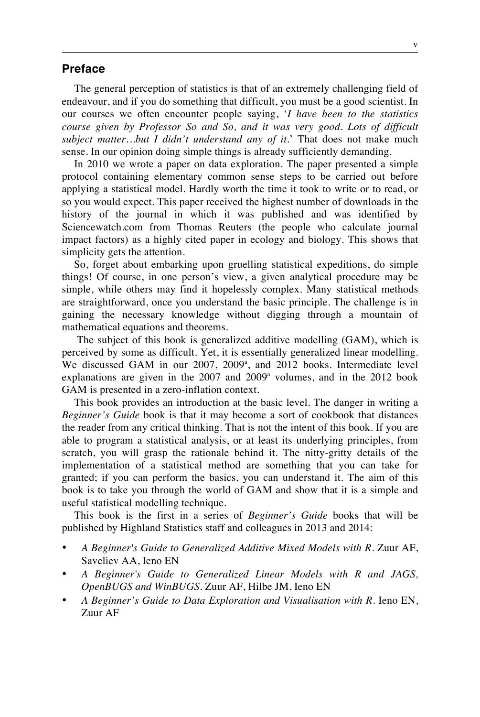## **Preface**

The general perception of statistics is that of an extremely challenging field of endeavour, and if you do something that difficult, you must be a good scientist. In our courses we often encounter people saying, '*I have been to the statistics course given by Professor So and So, and it was very good. Lots of difficult subject matter…but I didn't understand any of it.*' That does not make much sense. In our opinion doing simple things is already sufficiently demanding.

In 2010 we wrote a paper on data exploration. The paper presented a simple protocol containing elementary common sense steps to be carried out before applying a statistical model. Hardly worth the time it took to write or to read, or so you would expect. This paper received the highest number of downloads in the history of the journal in which it was published and was identified by Sciencewatch.com from Thomas Reuters (the people who calculate journal impact factors) as a highly cited paper in ecology and biology. This shows that simplicity gets the attention.

So, forget about embarking upon gruelling statistical expeditions, do simple things! Of course, in one person's view, a given analytical procedure may be simple, while others may find it hopelessly complex. Many statistical methods are straightforward, once you understand the basic principle. The challenge is in gaining the necessary knowledge without digging through a mountain of mathematical equations and theorems.

The subject of this book is generalized additive modelling (GAM), which is perceived by some as difficult. Yet, it is essentially generalized linear modelling. We discussed GAM in our 2007, 2009<sup>a</sup>, and 2012 books. Intermediate level explanations are given in the  $2007$  and  $2009^{\circ}$  volumes, and in the  $2012$  book GAM is presented in a zero-inflation context.

This book provides an introduction at the basic level. The danger in writing a *Beginner's Guide* book is that it may become a sort of cookbook that distances the reader from any critical thinking. That is not the intent of this book. If you are able to program a statistical analysis, or at least its underlying principles, from scratch, you will grasp the rationale behind it. The nitty-gritty details of the implementation of a statistical method are something that you can take for granted; if you can perform the basics, you can understand it. The aim of this book is to take you through the world of GAM and show that it is a simple and useful statistical modelling technique.

This book is the first in a series of *Beginner's Guide* books that will be published by Highland Statistics staff and colleagues in 2013 and 2014:

- *A Beginner's Guide to Generalized Additive Mixed Models with R*. Zuur AF, Saveliev AA, Ieno EN
- *A Beginner's Guide to Generalized Linear Models with R and JAGS, OpenBUGS and WinBUGS*. Zuur AF, Hilbe JM, Ieno EN
- *A Beginner's Guide to Data Exploration and Visualisation with R*. Ieno EN, Zuur AF